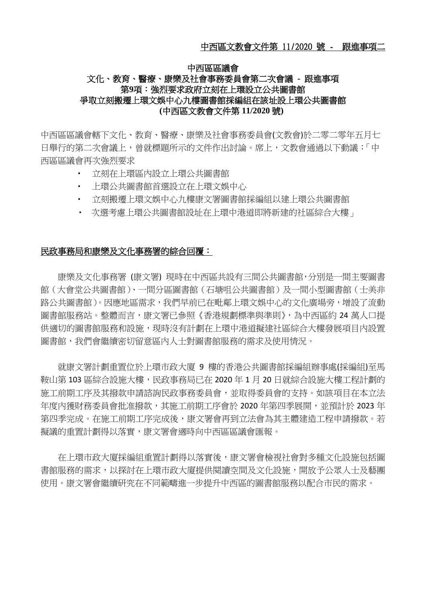## 中西區區議會 文化、教育、醫療、康樂及社會事務委員會第二次會議 **-** 跟進事項 第**9**項:強烈要求政府立刻在上環設立公共圖書館 爭取立刻搬遷上環文娛中心九樓圖書館採編組在該址設上環公共圖書館 **(**中西區文教會文件第 **11/2020** 號**)**

中西區區議會轄下文化、教育、醫療、康樂及社會事務委員會(文教會)於二零二零年五月七 日舉行的第二次會議上,曾就標題所示的文件作出討論。席上,文教會通過以下動議:「中 西區區議會再次強烈要求

- 立刻在上環區內設立上環公共圖書館
- 上環公共圖書館首選設立在上環文娛中心
- 立刻搬遷上環文娛中心九樓康文署圖書館採編組以建上環公共圖書館
- 次選考慮上環公共圖書館設址在上環中港道即將新建的社區綜合大樓」

## 民政事務局和康樂及文化事務署的綜合回覆:

康樂及文化事務署 (康文署) 現時在中西區共設有三間公共圖書館,分別是一間主要圖書 館(大會堂公共圖書館)、一間分區圖書館(石塘咀公共圖書館)及一間小型圖書館(士美非 路公共圖書館)。因應地區需求,我們早前已在毗鄰上環文娛中心的文化廣場旁,增設了流動 圖書館服務站。整體而言,康文署已參照《香港規劃標準與準則》,為中西區約 24 萬人口提 供適切的圖書館服務和設施,現時沒有計劃在上環中港道擬建社區綜合大樓發展項目內設置 圖書館,我們會繼續密切留意區內人十對圖書館服務的需求及使用情況。

就康文署計劃重置位於上環市政大廈 9 樓的香港公共圖書館採編組辦事處(採編組)至馬 鞍山第 103 區綜合設施大樓,民政事務局已在 2020 年 1 月 20 日就綜合設施大樓工程計劃的 施工前期工序及其撥款申請諮詢民政事務委員會,並取得委員會的支持。如該項目在本立法 年度內獲財務委員會批准撥款,其施工前期工序會於 2020 年第四季展開,並預計於 2023 年 第四季完成。在施工前期工序完成後,康文署會再到立法會為其主體建造工程申請撥款。若 擬議的重置計劃得以落實,康文署會適時向中西區區議會匯報。

在上環市政大廈採編組重置計劃得以落實後,康文署會檢視社會對多種文化設施包括圖 書館服務的需求,以探討在上環市政大廈提供閱讀空間及文化設施,開放予公眾人士及藝團 使用。康文署會繼續研究在不同範疇進一步提升中西區的圖書館服務以配合市民的需求。